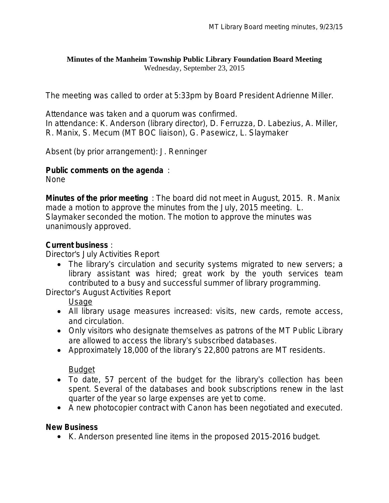#### **Minutes of the Manheim Township Public Library Foundation Board Meeting** Wednesday, September 23, 2015

The meeting was called to order at 5:33pm by Board President Adrienne Miller.

Attendance was taken and a quorum was confirmed. In attendance: K. Anderson (library director), D. Ferruzza, D. Labezius, A. Miller, R. Manix, S. Mecum (MT BOC liaison), G. Pasewicz, L. Slaymaker

Absent (by prior arrangement): J. Renninger

#### **Public comments on the agenda** :

None

**Minutes of the prior meeting** : The board did not meet in August, 2015. R. Manix made a motion to approve the minutes from the July, 2015 meeting. L. Slaymaker seconded the motion. The motion to approve the minutes was unanimously approved.

## **Current business** :

Director's July Activities Report

 The library's circulation and security systems migrated to new servers; a library assistant was hired; great work by the youth services team contributed to a busy and successful summer of library programming.

Director's August Activities Report

Usage

- All library usage measures increased: visits, new cards, remote access, and circulation.
- Only visitors who designate themselves as patrons of the MT Public Library are allowed to access the library's subscribed databases.
- Approximately 18,000 of the library's 22,800 patrons are MT residents.

**Budget** 

- To date, 57 percent of the budget for the library's collection has been spent. Several of the databases and book subscriptions renew in the last quarter of the year so large expenses are yet to come.
- A new photocopier contract with Canon has been negotiated and executed.

## **New Business**

• K. Anderson presented line items in the proposed 2015-2016 budget.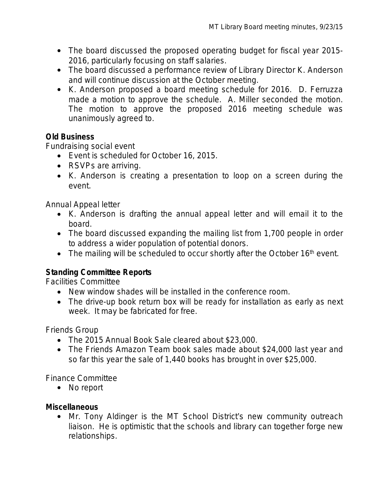- The board discussed the proposed operating budget for fiscal year 2015-2016, particularly focusing on staff salaries.
- The board discussed a performance review of Library Director K. Anderson and will continue discussion at the October meeting.
- K. Anderson proposed a board meeting schedule for 2016. D. Ferruzza made a motion to approve the schedule. A. Miller seconded the motion. The motion to approve the proposed 2016 meeting schedule was unanimously agreed to.

## **Old Business**

Fundraising social event

- Event is scheduled for October 16, 2015.
- RSVPs are arriving.
- K. Anderson is creating a presentation to loop on a screen during the event.

Annual Appeal letter

- K. Anderson is drafting the annual appeal letter and will email it to the board.
- The board discussed expanding the mailing list from 1,700 people in order to address a wider population of potential donors.
- $\bullet$  The mailing will be scheduled to occur shortly after the October 16<sup>th</sup> event.

# **Standing Committee Reports**

Facilities Committee

- New window shades will be installed in the conference room.
- The drive-up book return box will be ready for installation as early as next week. It may be fabricated for free.

Friends Group

- The 2015 Annual Book Sale cleared about \$23,000.
- The Friends Amazon Team book sales made about \$24,000 last year and so far this year the sale of 1,440 books has brought in over \$25,000.

Finance Committee

• No report

# **Miscellaneous**

 Mr. Tony Aldinger is the MT School District's new community outreach liaison. He is optimistic that the schools and library can together forge new relationships.